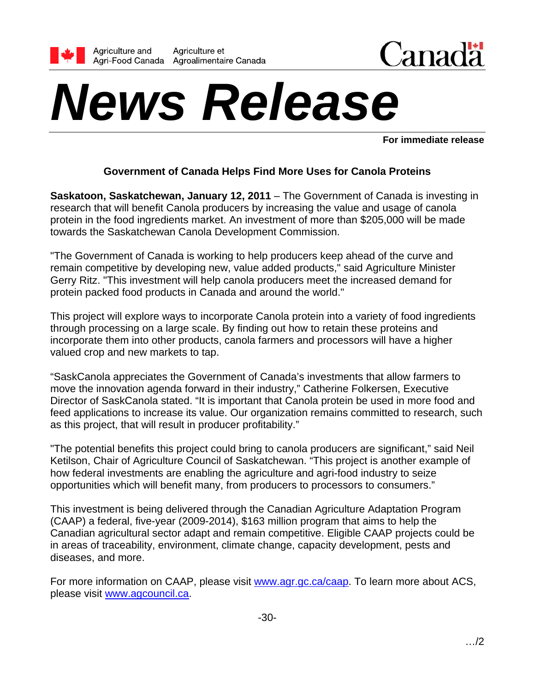



# *News Release*

**For immediate release** 

## **Government of Canada Helps Find More Uses for Canola Proteins**

**Saskatoon, Saskatchewan, January 12, 2011** – The Government of Canada is investing in research that will benefit Canola producers by increasing the value and usage of canola protein in the food ingredients market. An investment of more than \$205,000 will be made towards the Saskatchewan Canola Development Commission.

"The Government of Canada is working to help producers keep ahead of the curve and remain competitive by developing new, value added products," said Agriculture Minister Gerry Ritz. "This investment will help canola producers meet the increased demand for protein packed food products in Canada and around the world."

This project will explore ways to incorporate Canola protein into a variety of food ingredients through processing on a large scale. By finding out how to retain these proteins and incorporate them into other products, canola farmers and processors will have a higher valued crop and new markets to tap.

"SaskCanola appreciates the Government of Canada's investments that allow farmers to move the innovation agenda forward in their industry," Catherine Folkersen, Executive Director of SaskCanola stated. "It is important that Canola protein be used in more food and feed applications to increase its value. Our organization remains committed to research, such as this project, that will result in producer profitability."

"The potential benefits this project could bring to canola producers are significant," said Neil Ketilson, Chair of Agriculture Council of Saskatchewan. "This project is another example of how federal investments are enabling the agriculture and agri-food industry to seize opportunities which will benefit many, from producers to processors to consumers."

This investment is being delivered through the Canadian Agriculture Adaptation Program (CAAP) a federal, five-year (2009-2014), \$163 million program that aims to help the Canadian agricultural sector adapt and remain competitive. Eligible CAAP projects could be in areas of traceability, environment, climate change, capacity development, pests and diseases, and more.

For more information on CAAP, please visit www.agr.gc.ca/caap. To learn more about ACS, please visit www.agcouncil.ca.